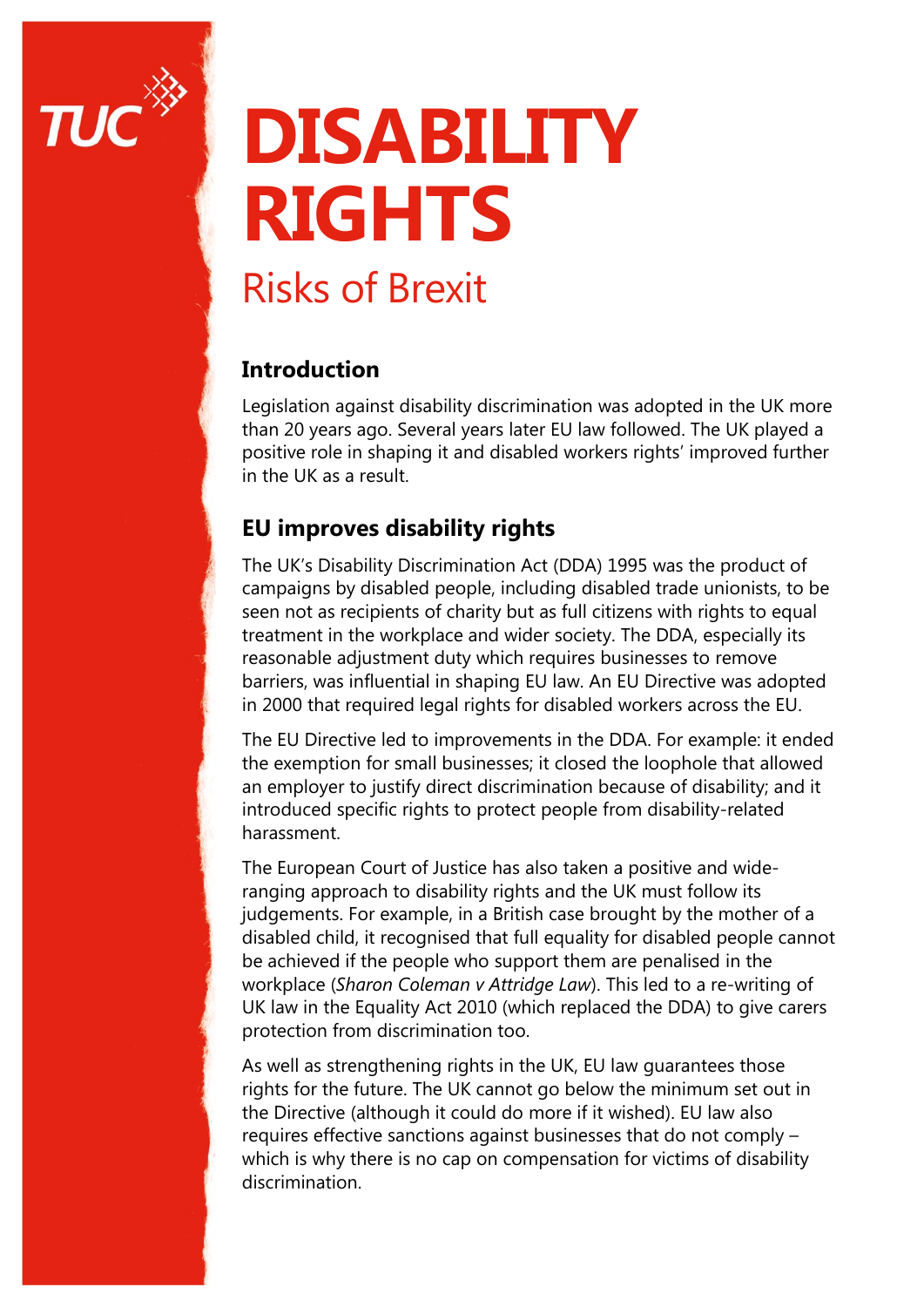

# **DISABILITY RIGHTS**

## Risks of Brexit

### **Introduction**

Legislation against disability discrimination was adopted in the UK more than 20 years ago. Several years later EU law followed. The UK played a positive role in shaping it and disabled workers rights' improved further in the UK as a result.

### **EU improves disability rights**

The UK's Disability Discrimination Act (DDA) 1995 was the product of campaigns by disabled people, including disabled trade unionists, to be seen not as recipients of charity but as full citizens with rights to equal treatment in the workplace and wider society. The DDA, especially its reasonable adjustment duty which requires businesses to remove barriers, was influential in shaping EU law. An EU Directive was adopted in 2000 that required legal rights for disabled workers across the EU.

The EU Directive led to improvements in the DDA. For example: it ended the exemption for small businesses; it closed the loophole that allowed an employer to justify direct discrimination because of disability; and it introduced specific rights to protect people from disability-related harassment.

The European Court of Justice has also taken a positive and wideranging approach to disability rights and the UK must follow its judgements. For example, in a British case brought by the mother of a disabled child, it recognised that full equality for disabled people cannot be achieved if the people who support them are penalised in the workplace (*Sharon Coleman v Attridge Law*). This led to a re-writing of UK law in the Equality Act 2010 (which replaced the DDA) to give carers protection from discrimination too.

As well as strengthening rights in the UK, EU law guarantees those rights for the future. The UK cannot go below the minimum set out in the Directive (although it could do more if it wished). EU law also requires effective sanctions against businesses that do not comply – which is why there is no cap on compensation for victims of disability discrimination.